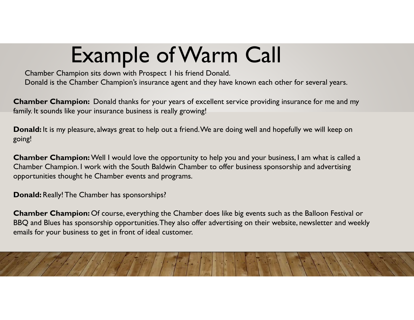## Example of Warm Call

Chamber Champion sits down with Prospect 1 his friend Donald. Donald is the Chamber Champion's insurance agent and they have known each other for several years.

**Chamber Champion:** Donald thanks for your years of excellent service providing insurance for me and my family. It sounds like your insurance business is really growing!

**Donald:** It is my pleasure, always great to help out a friend. We are doing well and hopefully we will keep on going!

**Chamber Champion:** Well I would love the opportunity to help you and your business, I am what is called a Chamber Champion. I work with the South Baldwin Chamber to offer business sponsorship and advertising opportunities thought he Chamber events and programs.

**Donald:** Really! The Chamber has sponsorships?

**Chamber Champion:** Of course, everything the Chamber does like big events such as the Balloon Festival or BBQ and Blues has sponsorship opportunities. They also offer advertising on their website, newsletter and weekly emails for your business to get in front of ideal customer.

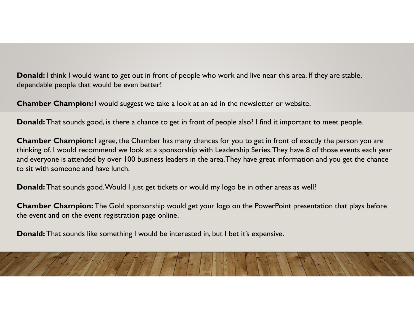**Donald:** I think I would want to get out in front of people who work and live near this area. If they are stable, dependable people that would be even better!

**Chamber Champion:** I would suggest we take a look at an ad in the newsletter or website.

**Donald:** That sounds good, is there a chance to get in front of people also? I find it important to meet people.

**Chamber Champion:** I agree, the Chamber has many chances for you to get in front of exactly the person you are thinking of. I would recommend we look at a sponsorship with Leadership Series. They have 8 of those events each year and everyone is attended by over 100 business leaders in the area. They have great information and you get the chance to sit with someone and have lunch.

**Donald:** That sounds good. Would I just get tickets or would my logo be in other areas as well?

**Chamber Champion:** The Gold sponsorship would get your logo on the PowerPoint presentation that plays before the event and on the event registration page online.

**Donald:** That sounds like something I would be interested in, but I bet it's expensive.